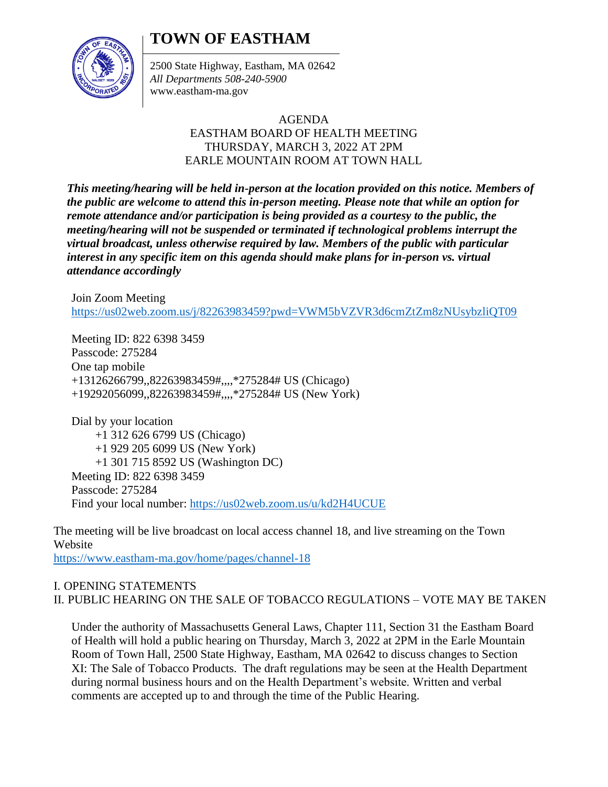## **TOWN OF EASTHAM**



2500 State Highway, Eastham, MA 02642 *All Departments 508-240-5900* www.eastham-ma.gov

## AGENDA EASTHAM BOARD OF HEALTH MEETING THURSDAY, MARCH 3, 2022 AT 2PM EARLE MOUNTAIN ROOM AT TOWN HALL

*This meeting/hearing will be held in-person at the location provided on this notice. Members of the public are welcome to attend this in-person meeting. Please note that while an option for remote attendance and/or participation is being provided as a courtesy to the public, the meeting/hearing will not be suspended or terminated if technological problems interrupt the virtual broadcast, unless otherwise required by law. Members of the public with particular interest in any specific item on this agenda should make plans for in-person vs. virtual attendance accordingly*

Join Zoom Meeting <https://us02web.zoom.us/j/82263983459?pwd=VWM5bVZVR3d6cmZtZm8zNUsybzliQT09>

Meeting ID: 822 6398 3459 Passcode: 275284 One tap mobile +13126266799,,82263983459#,,,,\*275284# US (Chicago) +19292056099,,82263983459#,,,,\*275284# US (New York)

Dial by your location +1 312 626 6799 US (Chicago) +1 929 205 6099 US (New York) +1 301 715 8592 US (Washington DC) Meeting ID: 822 6398 3459 Passcode: 275284 Find your local number:<https://us02web.zoom.us/u/kd2H4UCUE>

The meeting will be live broadcast on local access channel 18, and live streaming on the Town Website

<https://www.eastham-ma.gov/home/pages/channel-18>

## I. OPENING STATEMENTS II. PUBLIC HEARING ON THE SALE OF TOBACCO REGULATIONS – VOTE MAY BE TAKEN

Under the authority of Massachusetts General Laws, Chapter 111, Section 31 the Eastham Board of Health will hold a public hearing on Thursday, March 3, 2022 at 2PM in the Earle Mountain Room of Town Hall, 2500 State Highway, Eastham, MA 02642 to discuss changes to Section XI: The Sale of Tobacco Products. The draft regulations may be seen at the Health Department during normal business hours and on the Health Department's website. Written and verbal comments are accepted up to and through the time of the Public Hearing.